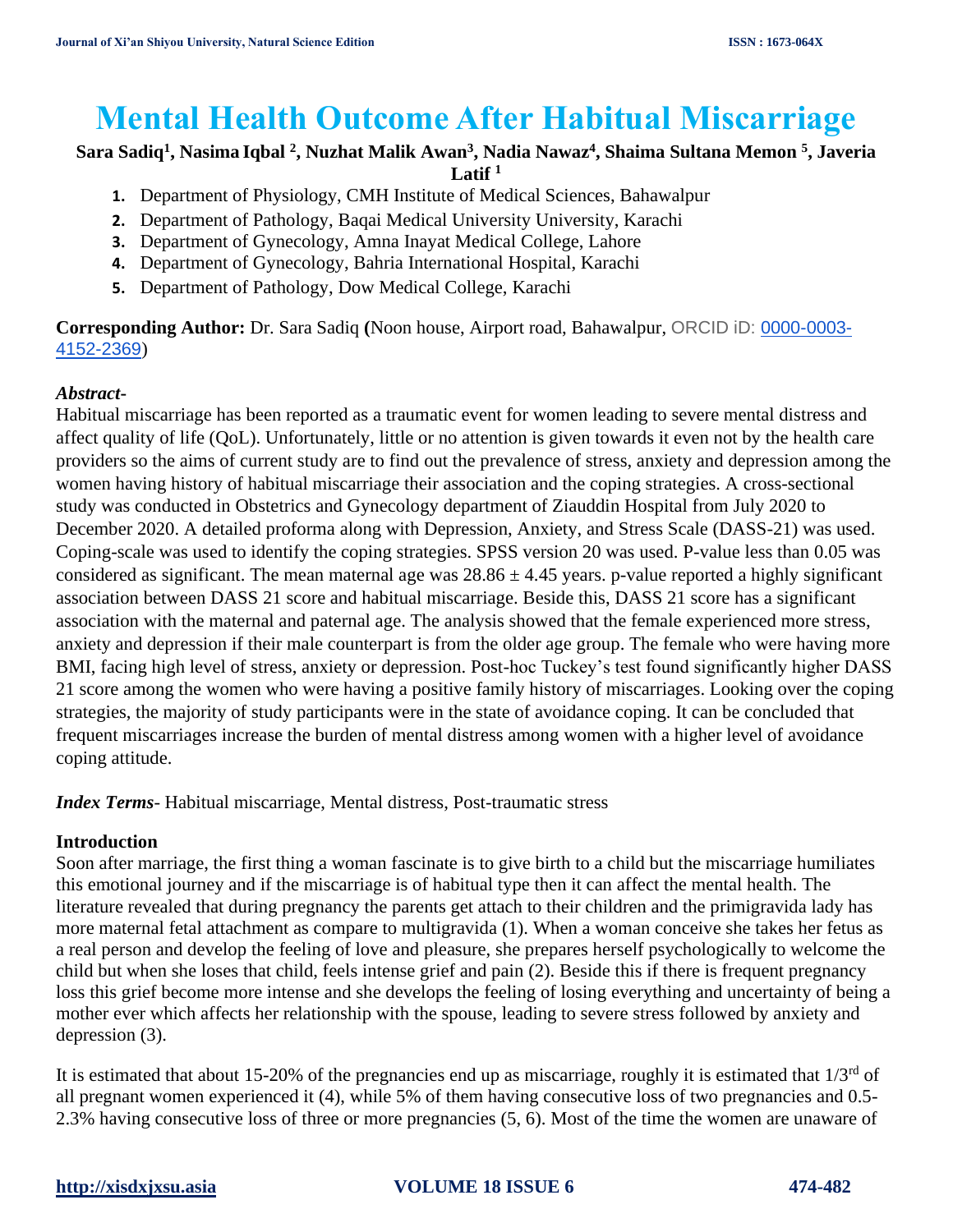# **Mental Health Outcome After Habitual Miscarriage**

## **Sara Sadiq<sup>1</sup> , Nasima Iqbal <sup>2</sup> , Nuzhat Malik Awan<sup>3</sup> , Nadia Nawaz<sup>4</sup> , Shaima Sultana Memon <sup>5</sup> , Javeria**   $L$ atif  $1$

- **1.** Department of Physiology, CMH Institute of Medical Sciences, Bahawalpur
- **2.** Department of Pathology, Baqai Medical University University, Karachi
- **3.** Department of Gynecology, Amna Inayat Medical College, Lahore
- **4.** Department of Gynecology, Bahria International Hospital, Karachi
- **5.** Department of Pathology, Dow Medical College, Karachi

**Corresponding Author:** Dr. Sara Sadiq **(**Noon house, Airport road, Bahawalpur, ORCID iD: [0000-0003-](http://orcid.org/0000-0003-4152-2369) [4152-2369](http://orcid.org/0000-0003-4152-2369))

# *Abstract***-**

Habitual miscarriage has been reported as a traumatic event for women leading to severe mental distress and affect quality of life (QoL). Unfortunately, little or no attention is given towards it even not by the health care providers so the aims of current study are to find out the prevalence of stress, anxiety and depression among the women having history of habitual miscarriage their association and the coping strategies. A cross-sectional study was conducted in Obstetrics and Gynecology department of Ziauddin Hospital from July 2020 to December 2020. A detailed proforma along with Depression, Anxiety, and Stress Scale (DASS-21) was used. Coping-scale was used to identify the coping strategies. SPSS version 20 was used. P-value less than 0.05 was considered as significant. The mean maternal age was  $28.86 \pm 4.45$  years. p-value reported a highly significant association between DASS 21 score and habitual miscarriage. Beside this, DASS 21 score has a significant association with the maternal and paternal age. The analysis showed that the female experienced more stress, anxiety and depression if their male counterpart is from the older age group. The female who were having more BMI, facing high level of stress, anxiety or depression. Post-hoc Tuckey's test found significantly higher DASS 21 score among the women who were having a positive family history of miscarriages. Looking over the coping strategies, the majority of study participants were in the state of avoidance coping. It can be concluded that frequent miscarriages increase the burden of mental distress among women with a higher level of avoidance coping attitude.

*Index Terms*- Habitual miscarriage, Mental distress, Post-traumatic stress

## **Introduction**

Soon after marriage, the first thing a woman fascinate is to give birth to a child but the miscarriage humiliates this emotional journey and if the miscarriage is of habitual type then it can affect the mental health. The literature revealed that during pregnancy the parents get attach to their children and the primigravida lady has more maternal fetal attachment as compare to multigravida [\(1\)](#page-7-0). When a woman conceive she takes her fetus as a real person and develop the feeling of love and pleasure, she prepares herself psychologically to welcome the child but when she loses that child, feels intense grief and pain [\(2\)](#page-7-1). Beside this if there is frequent pregnancy loss this grief become more intense and she develops the feeling of losing everything and uncertainty of being a mother ever which affects her relationship with the spouse, leading to severe stress followed by anxiety and depression [\(3\)](#page-7-2).

It is estimated that about 15-20% of the pregnancies end up as miscarriage, roughly it is estimated that  $1/3<sup>rd</sup>$  of all pregnant women experienced it [\(4\)](#page-7-3), while 5% of them having consecutive loss of two pregnancies and 0.5- 2.3% having consecutive loss of three or more pregnancies [\(5,](#page-7-4) [6\)](#page-7-5). Most of the time the women are unaware of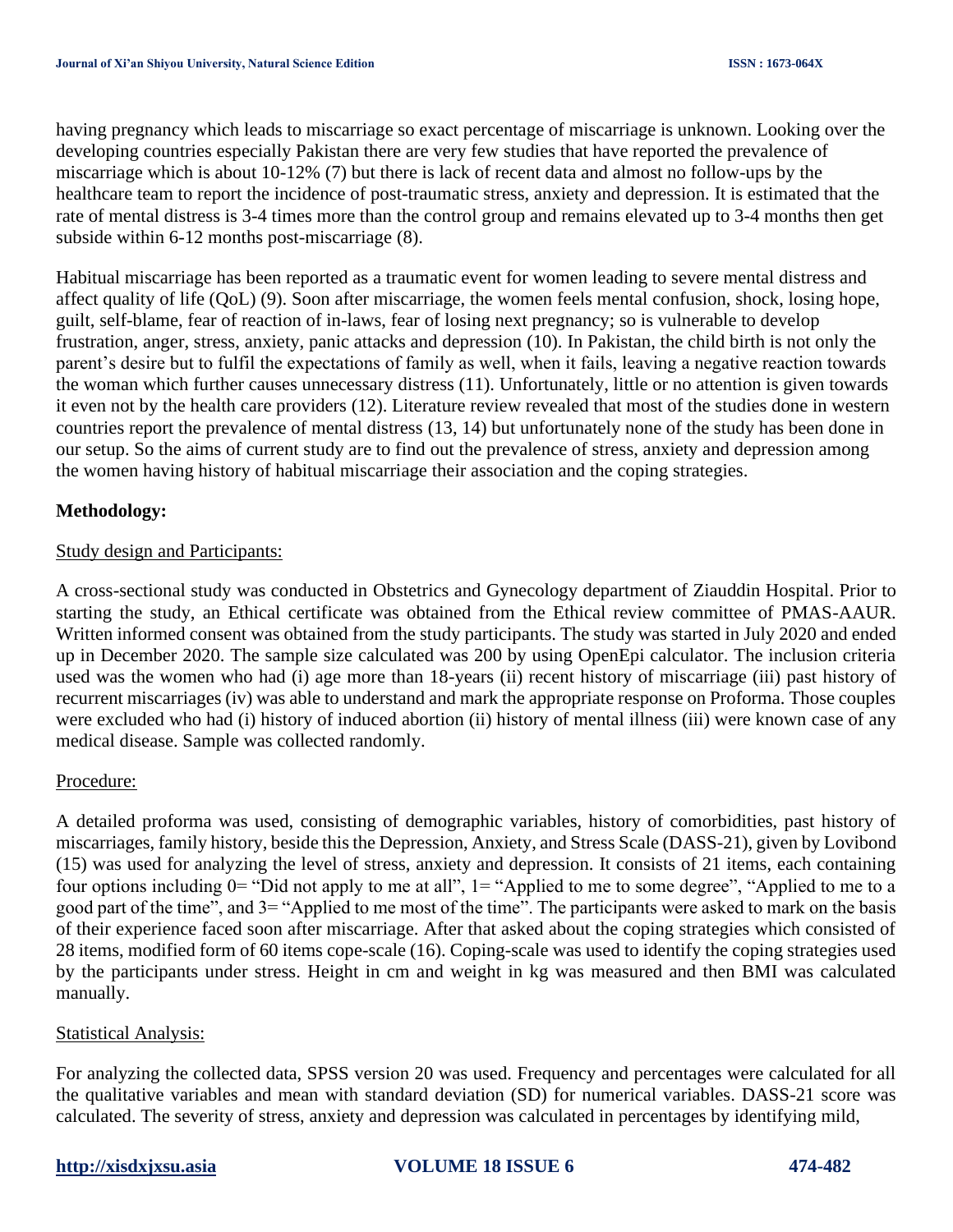having pregnancy which leads to miscarriage so exact percentage of miscarriage is unknown. Looking over the developing countries especially Pakistan there are very few studies that have reported the prevalence of miscarriage which is about 10-12% [\(7\)](#page-7-6) but there is lack of recent data and almost no follow-ups by the healthcare team to report the incidence of post-traumatic stress, anxiety and depression. It is estimated that the rate of mental distress is 3-4 times more than the control group and remains elevated up to 3-4 months then get subside within 6-12 months post-miscarriage [\(8\)](#page-7-7).

Habitual miscarriage has been reported as a traumatic event for women leading to severe mental distress and affect quality of life (QoL) [\(9\)](#page-7-8). Soon after miscarriage, the women feels mental confusion, shock, losing hope, guilt, self-blame, fear of reaction of in-laws, fear of losing next pregnancy; so is vulnerable to develop frustration, anger, stress, anxiety, panic attacks and depression [\(10\)](#page-7-9). In Pakistan, the child birth is not only the parent's desire but to fulfil the expectations of family as well, when it fails, leaving a negative reaction towards the woman which further causes unnecessary distress [\(11\)](#page-7-10). Unfortunately, little or no attention is given towards it even not by the health care providers [\(12\)](#page-7-11). Literature review revealed that most of the studies done in western countries report the prevalence of mental distress [\(13,](#page-7-12) [14\)](#page-7-13) but unfortunately none of the study has been done in our setup. So the aims of current study are to find out the prevalence of stress, anxiety and depression among the women having history of habitual miscarriage their association and the coping strategies.

## **Methodology:**

### Study design and Participants:

A cross-sectional study was conducted in Obstetrics and Gynecology department of Ziauddin Hospital. Prior to starting the study, an Ethical certificate was obtained from the Ethical review committee of PMAS-AAUR. Written informed consent was obtained from the study participants. The study was started in July 2020 and ended up in December 2020. The sample size calculated was 200 by using OpenEpi calculator. The inclusion criteria used was the women who had (i) age more than 18-years (ii) recent history of miscarriage (iii) past history of recurrent miscarriages (iv) was able to understand and mark the appropriate response on Proforma. Those couples were excluded who had (i) history of induced abortion (ii) history of mental illness (iii) were known case of any medical disease. Sample was collected randomly.

### Procedure:

A detailed proforma was used, consisting of demographic variables, history of comorbidities, past history of miscarriages, family history, beside this the Depression, Anxiety, and Stress Scale (DASS-21), given by Lovibond [\(15\)](#page-7-14) was used for analyzing the level of stress, anxiety and depression. It consists of 21 items, each containing four options including  $0=$  "Did not apply to me at all",  $1=$  "Applied to me to some degree", "Applied to me to a good part of the time", and 3= "Applied to me most of the time". The participants were asked to mark on the basis of their experience faced soon after miscarriage. After that asked about the coping strategies which consisted of 28 items, modified form of 60 items cope-scale [\(16\)](#page-7-15). Coping-scale was used to identify the coping strategies used by the participants under stress. Height in cm and weight in kg was measured and then BMI was calculated manually.

### Statistical Analysis:

For analyzing the collected data, SPSS version 20 was used. Frequency and percentages were calculated for all the qualitative variables and mean with standard deviation (SD) for numerical variables. DASS-21 score was calculated. The severity of stress, anxiety and depression was calculated in percentages by identifying mild,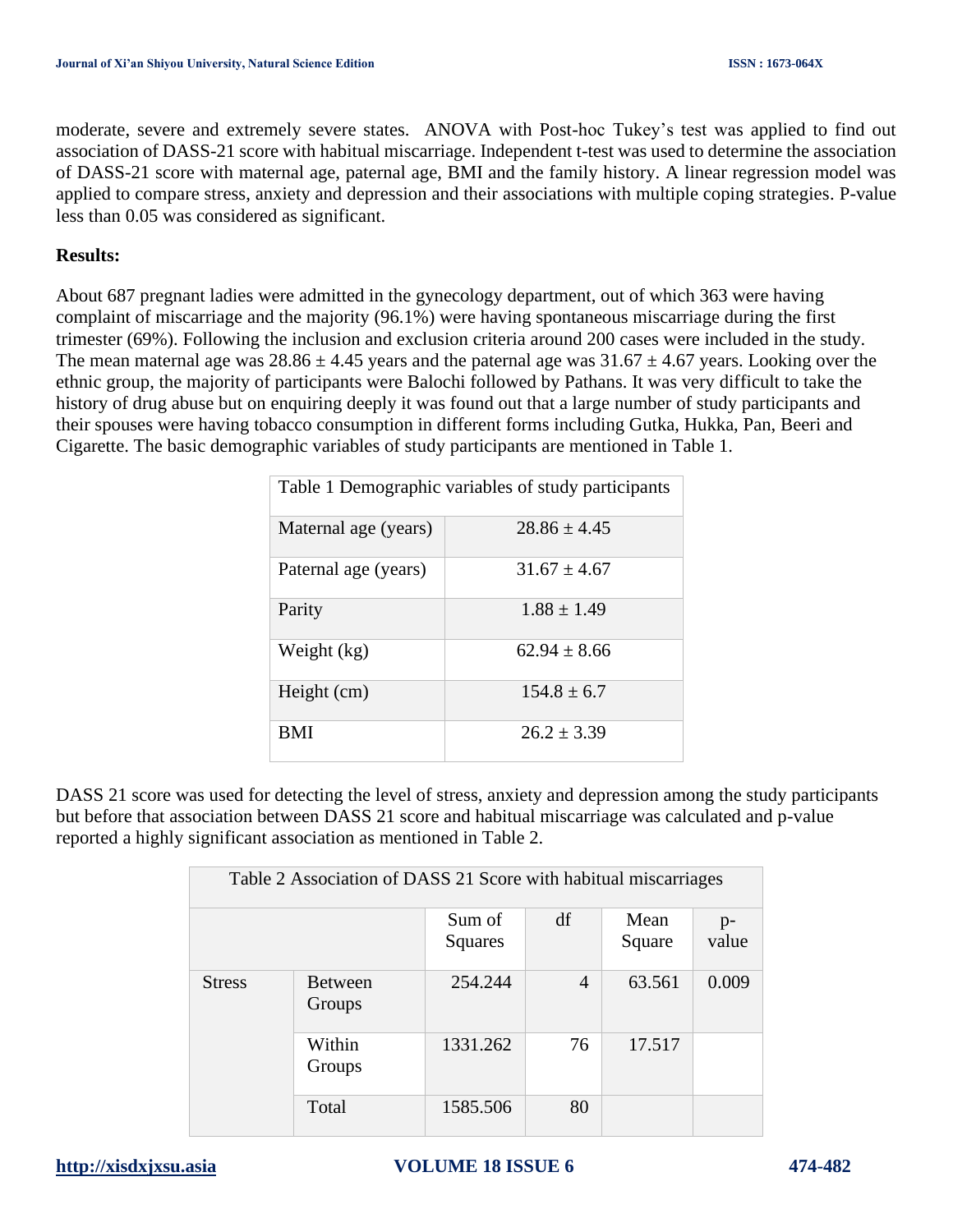moderate, severe and extremely severe states. ANOVA with Post-hoc Tukey's test was applied to find out association of DASS-21 score with habitual miscarriage. Independent t-test was used to determine the association of DASS-21 score with maternal age, paternal age, BMI and the family history. A linear regression model was applied to compare stress, anxiety and depression and their associations with multiple coping strategies. P-value less than 0.05 was considered as significant.

## **Results:**

About 687 pregnant ladies were admitted in the gynecology department, out of which 363 were having complaint of miscarriage and the majority (96.1%) were having spontaneous miscarriage during the first trimester (69%). Following the inclusion and exclusion criteria around 200 cases were included in the study. The mean maternal age was  $28.86 \pm 4.45$  years and the paternal age was  $31.67 \pm 4.67$  years. Looking over the ethnic group, the majority of participants were Balochi followed by Pathans. It was very difficult to take the history of drug abuse but on enquiring deeply it was found out that a large number of study participants and their spouses were having tobacco consumption in different forms including Gutka, Hukka, Pan, Beeri and Cigarette. The basic demographic variables of study participants are mentioned in Table 1.

| Table 1 Demographic variables of study participants |                  |  |  |  |  |
|-----------------------------------------------------|------------------|--|--|--|--|
| Maternal age (years)                                | $28.86 + 4.45$   |  |  |  |  |
| Paternal age (years)                                | $31.67 \pm 4.67$ |  |  |  |  |
| Parity                                              | $1.88 \pm 1.49$  |  |  |  |  |
| Weight (kg)                                         | $62.94 + 8.66$   |  |  |  |  |
| Height (cm)                                         | $154.8 \pm 6.7$  |  |  |  |  |
| <b>BMI</b>                                          | $26.2 \pm 3.39$  |  |  |  |  |

DASS 21 score was used for detecting the level of stress, anxiety and depression among the study participants but before that association between DASS 21 score and habitual miscarriage was calculated and p-value reported a highly significant association as mentioned in Table 2.

| Table 2 Association of DASS 21 Score with habitual miscarriages |                          |                   |                |                |               |  |
|-----------------------------------------------------------------|--------------------------|-------------------|----------------|----------------|---------------|--|
|                                                                 |                          | Sum of<br>Squares | df             | Mean<br>Square | $p-$<br>value |  |
| <b>Stress</b>                                                   | <b>Between</b><br>Groups | 254.244           | $\overline{A}$ | 63.561         | 0.009         |  |
|                                                                 | Within<br>Groups         | 1331.262          | 76             | 17.517         |               |  |
|                                                                 | Total                    | 1585.506          | 80             |                |               |  |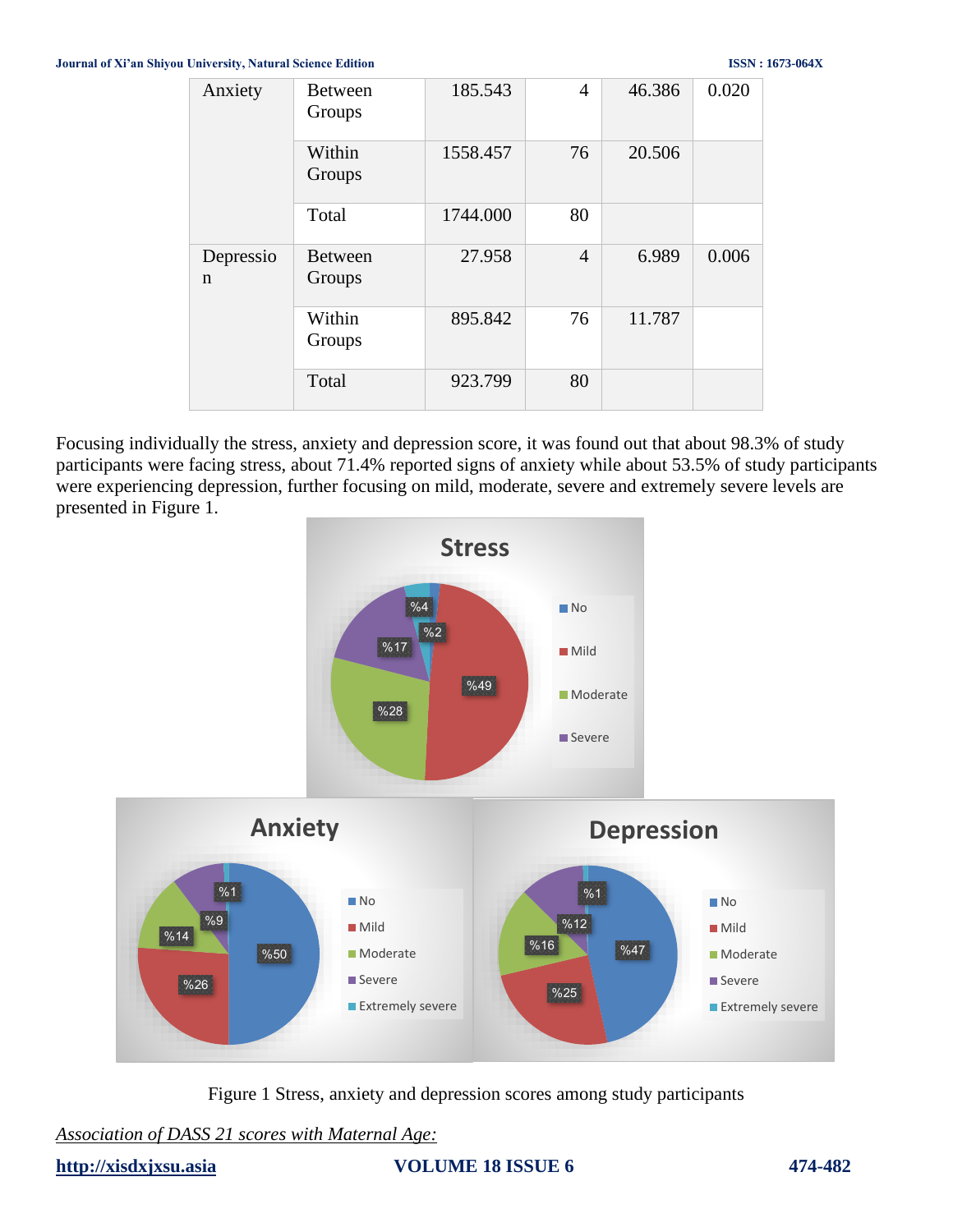| Anxiety        | <b>Between</b><br>Groups | 185.543  | $\overline{4}$ | 46.386 | 0.020 |
|----------------|--------------------------|----------|----------------|--------|-------|
|                | Within<br>Groups         | 1558.457 | 76             | 20.506 |       |
|                | Total                    | 1744.000 | 80             |        |       |
| Depressio<br>n | <b>Between</b><br>Groups | 27.958   | $\overline{4}$ | 6.989  | 0.006 |
|                | Within<br>Groups         | 895.842  | 76             | 11.787 |       |
|                | Total                    | 923.799  | 80             |        |       |

Focusing individually the stress, anxiety and depression score, it was found out that about 98.3% of study participants were facing stress, about 71.4% reported signs of anxiety while about 53.5% of study participants were experiencing depression, further focusing on mild, moderate, severe and extremely severe levels are presented in Figure 1.



Figure 1 Stress, anxiety and depression scores among study participants

*Association of DASS 21 scores with Maternal Age:*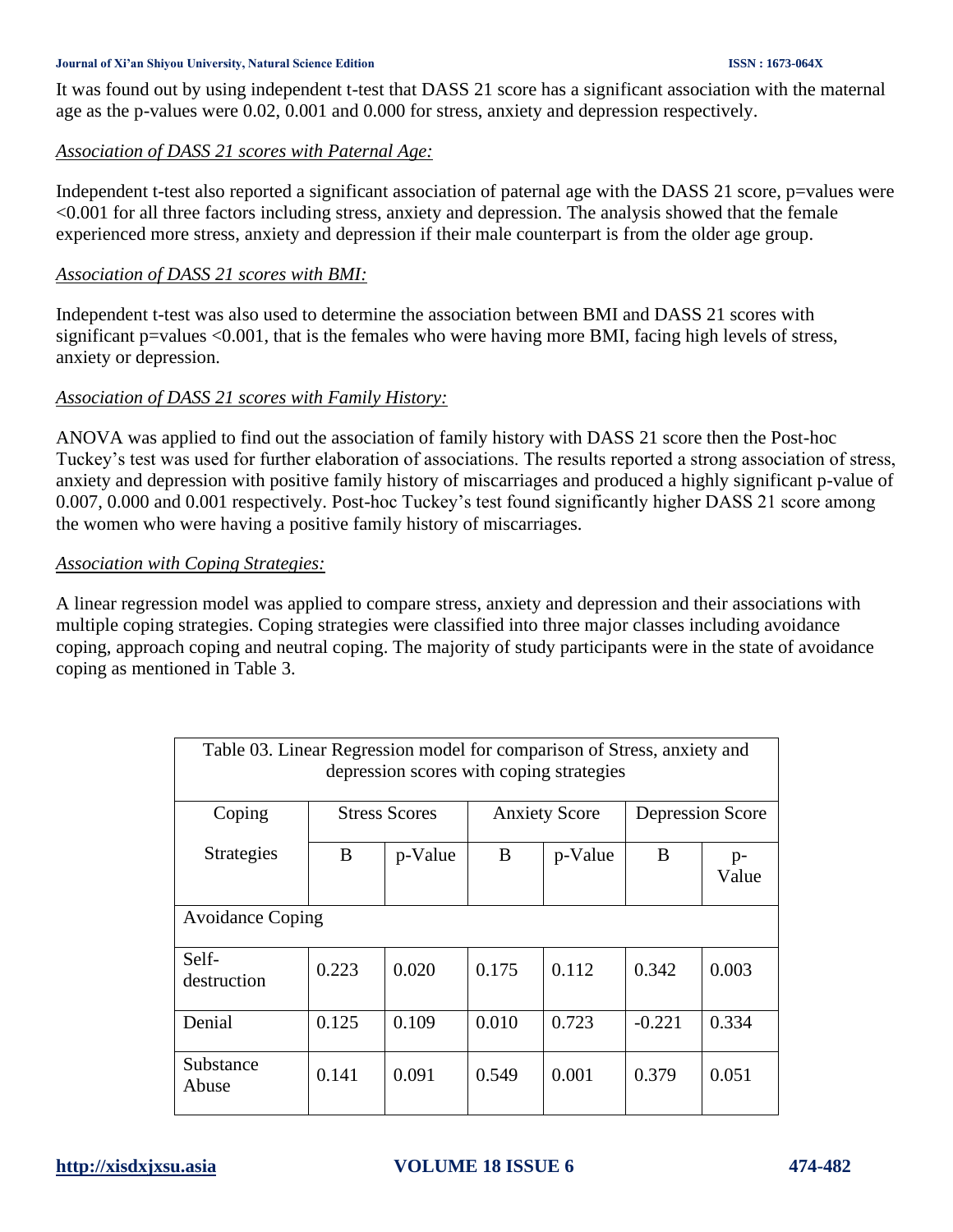### **Journal of Xi'an Shiyou University, Natural Science Edition ISSN : 1673-064X**

It was found out by using independent t-test that DASS 21 score has a significant association with the maternal age as the p-values were 0.02, 0.001 and 0.000 for stress, anxiety and depression respectively.

### *Association of DASS 21 scores with Paternal Age:*

Independent t-test also reported a significant association of paternal age with the DASS 21 score, p=values were <0.001 for all three factors including stress, anxiety and depression. The analysis showed that the female experienced more stress, anxiety and depression if their male counterpart is from the older age group.

### *Association of DASS 21 scores with BMI:*

Independent t-test was also used to determine the association between BMI and DASS 21 scores with significant p=values  $\leq 0.001$ , that is the females who were having more BMI, facing high levels of stress, anxiety or depression.

### *Association of DASS 21 scores with Family History:*

ANOVA was applied to find out the association of family history with DASS 21 score then the Post-hoc Tuckey's test was used for further elaboration of associations. The results reported a strong association of stress, anxiety and depression with positive family history of miscarriages and produced a highly significant p-value of 0.007, 0.000 and 0.001 respectively. Post-hoc Tuckey's test found significantly higher DASS 21 score among the women who were having a positive family history of miscarriages.

### *Association with Coping Strategies:*

A linear regression model was applied to compare stress, anxiety and depression and their associations with multiple coping strategies. Coping strategies were classified into three major classes including avoidance coping, approach coping and neutral coping. The majority of study participants were in the state of avoidance coping as mentioned in Table 3.

| Table 03. Linear Regression model for comparison of Stress, anxiety and<br>depression scores with coping strategies |                      |         |                      |         |                  |               |  |
|---------------------------------------------------------------------------------------------------------------------|----------------------|---------|----------------------|---------|------------------|---------------|--|
| Coping                                                                                                              | <b>Stress Scores</b> |         | <b>Anxiety Score</b> |         | Depression Score |               |  |
| <b>Strategies</b>                                                                                                   | B                    | p-Value | B                    | p-Value | B                | $p-$<br>Value |  |
| <b>Avoidance Coping</b>                                                                                             |                      |         |                      |         |                  |               |  |
| Self-<br>destruction                                                                                                | 0.223                | 0.020   | 0.175                | 0.112   | 0.342            | 0.003         |  |
| Denial                                                                                                              | 0.125                | 0.109   | 0.010                | 0.723   | $-0.221$         | 0.334         |  |
| Substance<br>Abuse                                                                                                  | 0.141                | 0.091   | 0.549                | 0.001   | 0.379            | 0.051         |  |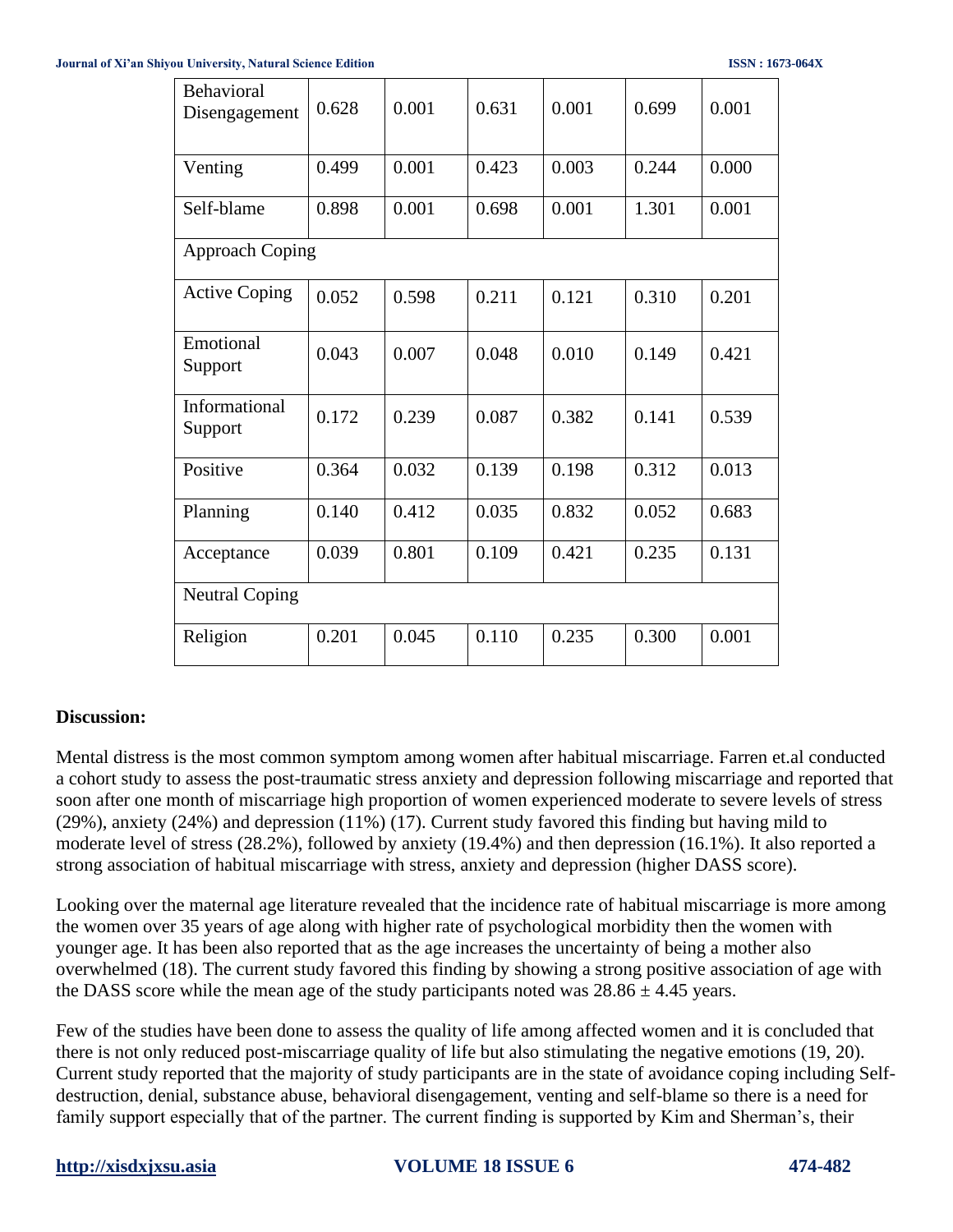| Behavioral<br>Disengagement | 0.628 | 0.001 | 0.631 | 0.001 | 0.699 | 0.001 |
|-----------------------------|-------|-------|-------|-------|-------|-------|
| Venting                     | 0.499 | 0.001 | 0.423 | 0.003 | 0.244 | 0.000 |
| Self-blame                  | 0.898 | 0.001 | 0.698 | 0.001 | 1.301 | 0.001 |
| <b>Approach Coping</b>      |       |       |       |       |       |       |
| <b>Active Coping</b>        | 0.052 | 0.598 | 0.211 | 0.121 | 0.310 | 0.201 |
| Emotional<br>Support        | 0.043 | 0.007 | 0.048 | 0.010 | 0.149 | 0.421 |
| Informational<br>Support    | 0.172 | 0.239 | 0.087 | 0.382 | 0.141 | 0.539 |
| Positive                    | 0.364 | 0.032 | 0.139 | 0.198 | 0.312 | 0.013 |
| Planning                    | 0.140 | 0.412 | 0.035 | 0.832 | 0.052 | 0.683 |
| Acceptance                  | 0.039 | 0.801 | 0.109 | 0.421 | 0.235 | 0.131 |
| <b>Neutral Coping</b>       |       |       |       |       |       |       |
| Religion                    | 0.201 | 0.045 | 0.110 | 0.235 | 0.300 | 0.001 |

## **Discussion:**

Mental distress is the most common symptom among women after habitual miscarriage. Farren et.al conducted a cohort study to assess the post-traumatic stress anxiety and depression following miscarriage and reported that soon after one month of miscarriage high proportion of women experienced moderate to severe levels of stress (29%), anxiety (24%) and depression (11%) [\(17\)](#page-7-16). Current study favored this finding but having mild to moderate level of stress (28.2%), followed by anxiety (19.4%) and then depression (16.1%). It also reported a strong association of habitual miscarriage with stress, anxiety and depression (higher DASS score).

Looking over the maternal age literature revealed that the incidence rate of habitual miscarriage is more among the women over 35 years of age along with higher rate of psychological morbidity then the women with younger age. It has been also reported that as the age increases the uncertainty of being a mother also overwhelmed [\(18\)](#page-7-17). The current study favored this finding by showing a strong positive association of age with the DASS score while the mean age of the study participants noted was  $28.86 \pm 4.45$  years.

Few of the studies have been done to assess the quality of life among affected women and it is concluded that there is not only reduced post-miscarriage quality of life but also stimulating the negative emotions [\(19,](#page-7-18) [20\)](#page-7-19). Current study reported that the majority of study participants are in the state of avoidance coping including Selfdestruction, denial, substance abuse, behavioral disengagement, venting and self-blame so there is a need for family support especially that of the partner. The current finding is supported by Kim and Sherman's, their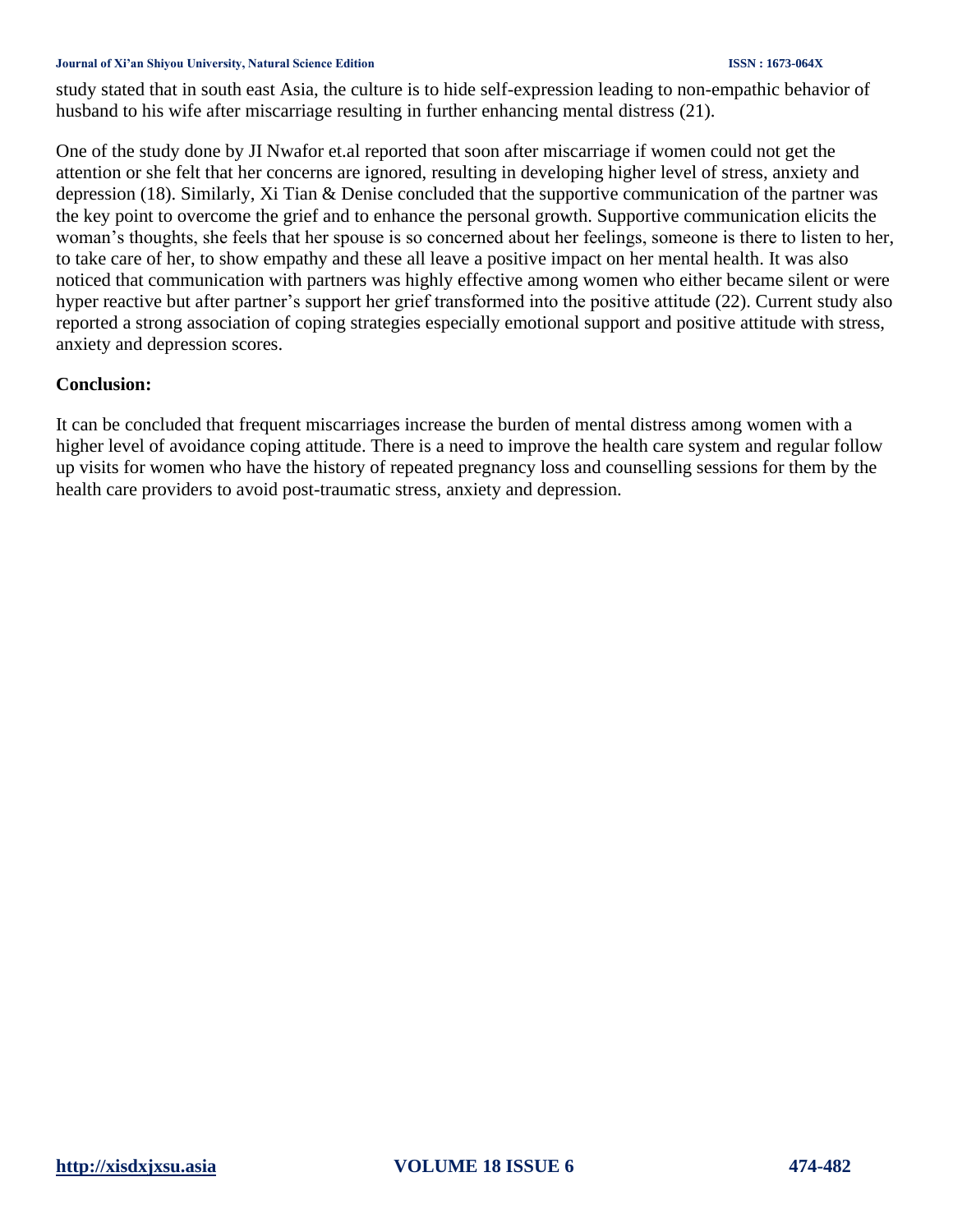### **Journal of Xi'an Shiyou University, Natural Science Edition ISSN : 1673-064X**

study stated that in south east Asia, the culture is to hide self-expression leading to non-empathic behavior of husband to his wife after miscarriage resulting in further enhancing mental distress [\(21\)](#page-7-20).

One of the study done by JI Nwafor et.al reported that soon after miscarriage if women could not get the attention or she felt that her concerns are ignored, resulting in developing higher level of stress, anxiety and depression [\(18\)](#page-7-17). Similarly, Xi Tian & Denise concluded that the supportive communication of the partner was the key point to overcome the grief and to enhance the personal growth. Supportive communication elicits the woman's thoughts, she feels that her spouse is so concerned about her feelings, someone is there to listen to her, to take care of her, to show empathy and these all leave a positive impact on her mental health. It was also noticed that communication with partners was highly effective among women who either became silent or were hyper reactive but after partner's support her grief transformed into the positive attitude [\(22\)](#page-7-21). Current study also reported a strong association of coping strategies especially emotional support and positive attitude with stress, anxiety and depression scores.

### **Conclusion:**

It can be concluded that frequent miscarriages increase the burden of mental distress among women with a higher level of avoidance coping attitude. There is a need to improve the health care system and regular follow up visits for women who have the history of repeated pregnancy loss and counselling sessions for them by the health care providers to avoid post-traumatic stress, anxiety and depression.